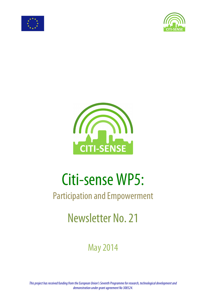





# Citi-sense WP5:

## Participation and Empowerment

# Newsletter No. 21

## May2014

*This project has received funding from the European Union's Seventh Programme for research, technological development and demonstration under grant agreement No 308524.*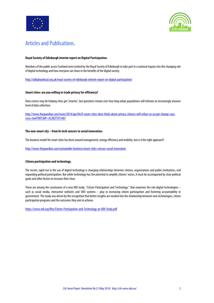



### Articles and Publications.

#### **Royal Society of Edinburgh interim report on Digital Participation.**

Members of the public across Scotland were invited by the Royal Society of Edinburgh to take part in a national inquiry into the changing role of digital technology and how everyone can share in the benefits of the digital society.

http://talkaboutlocal.org.uk/royal-society-of-edinburgh-interim-report-on-digital-participation/

#### **Smart cities: are you willing to trade privacyfor efficiency?**

Data science may be helping cities get 'smarter', but questions remain over how long urban populations will tolerate an increasingly invasive level of data collection.

http://www.theguardian.com/news/2014/apr/04/if-smart-cities-dont-think-about-privacy-citizens-will-refuse-to-accept-change-sayscisco-chief?INTCMP=ILCNETTXT3487

#### **The new smart city – from hi-tech sensors to social innovation.**

The business model for smart cities has been around management, energy efficiency and mobility, but is it the right approach?

http://www.theguardian.com/sustainable-business/smart-cities-sensors-social-innovation

#### **Citizen participation and technology.**

The recent, rapid rise in the use of digital technology is changing relationships between citizens, organizations and public institutions, and expanding political participation. But while technology has the potential to amplify citizens' voices, it must be accompaniedby clear political goals and other factors to increase their clout.

Those are among the conclusions of a new NDI study, "Citizen Participation and Technology," that examines the role digital technologies – such as social media, interactive websites and SMS systems – play in increasing citizen participation and fostering accountability in government. The study was driven by the recognition that better insights are needed into the relationship between new technologies, citizen participation programs and the outcomes theyaim to achieve.

https://www.ndi.org/files/Citizen-Participation-and-Technology-an-NDI-Study.pdf